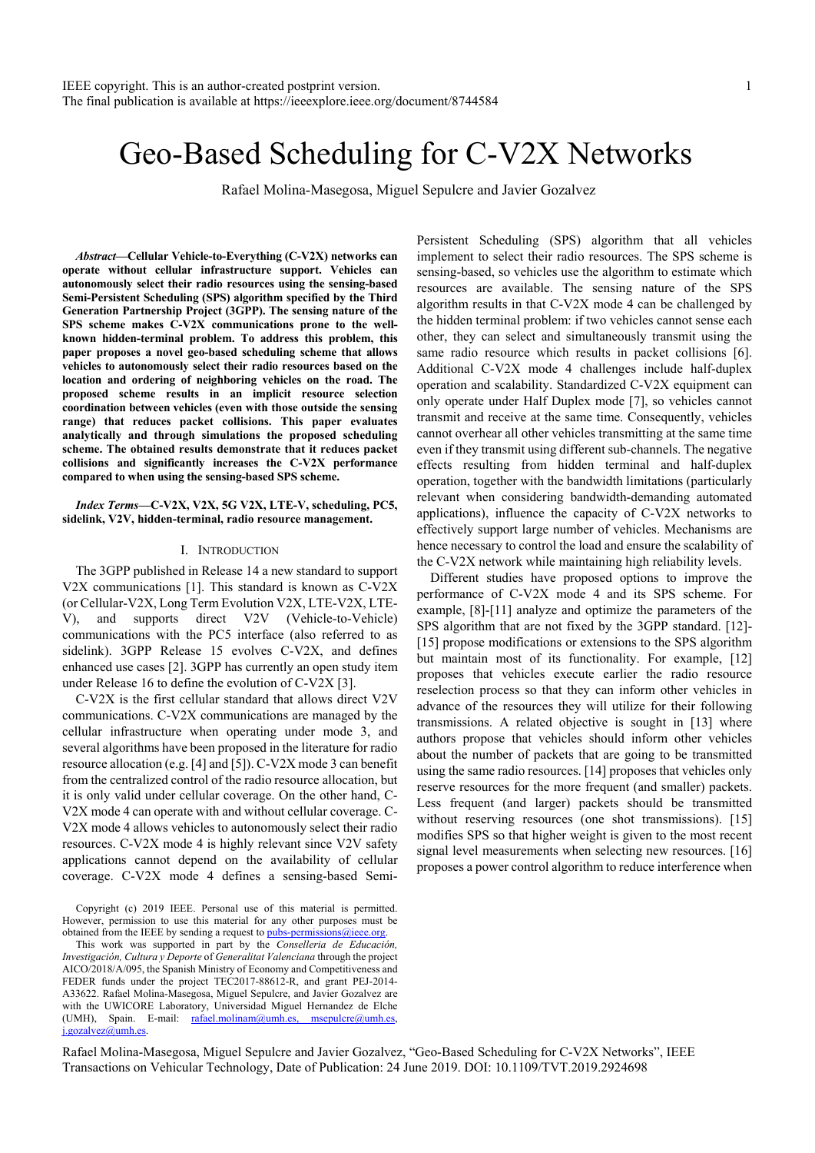# Geo-Based Scheduling for C-V2X Networks

Rafael Molina-Masegosa, Miguel Sepulcre and Javier Gozalvez

*Abstract***—Cellular Vehicle-to-Everything (C-V2X) networks can operate without cellular infrastructure support. Vehicles can autonomously select their radio resources using the sensing-based Semi-Persistent Scheduling (SPS) algorithm specified by the Third Generation Partnership Project (3GPP). The sensing nature of the SPS scheme makes C-V2X communications prone to the wellknown hidden-terminal problem. To address this problem, this paper proposes a novel geo-based scheduling scheme that allows vehicles to autonomously select their radio resources based on the location and ordering of neighboring vehicles on the road. The proposed scheme results in an implicit resource selection coordination between vehicles (even with those outside the sensing range) that reduces packet collisions. This paper evaluates analytically and through simulations the proposed scheduling scheme. The obtained results demonstrate that it reduces packet collisions and significantly increases the C-V2X performance compared to when using the sensing-based SPS scheme.** 

*Index Terms***—C-V2X, V2X, 5G V2X, LTE-V, scheduling, PC5, sidelink, V2V, hidden-terminal, radio resource management.** 

## I. INTRODUCTION

The 3GPP published in Release 14 a new standard to support V2X communications [1]. This standard is known as C-V2X (or Cellular-V2X, Long Term Evolution V2X, LTE-V2X, LTE-V), and supports direct V2V (Vehicle-to-Vehicle) communications with the PC5 interface (also referred to as sidelink). 3GPP Release 15 evolves C-V2X, and defines enhanced use cases [2]. 3GPP has currently an open study item under Release 16 to define the evolution of C-V2X [3].

C-V2X is the first cellular standard that allows direct V2V communications. C-V2X communications are managed by the cellular infrastructure when operating under mode 3, and several algorithms have been proposed in the literature for radio resource allocation (e.g. [4] and [5]). C-V2X mode 3 can benefit from the centralized control of the radio resource allocation, but it is only valid under cellular coverage. On the other hand, C-V2X mode 4 can operate with and without cellular coverage. C-V2X mode 4 allows vehicles to autonomously select their radio resources. C-V2X mode 4 is highly relevant since V2V safety applications cannot depend on the availability of cellular coverage. C-V2X mode 4 defines a sensing-based Semi-

Copyright (c) 2019 IEEE. Personal use of this material is permitted. However, permission to use this material for any other purposes must be obtained from the IEEE by sending a request to pubs-permissions@ieee.org.

This work was supported in part by the *Conselleria de Educación, Investigación, Cultura y Deporte* of *Generalitat Valenciana* through the project AICO/2018/A/095, the Spanish Ministry of Economy and Competitiveness and FEDER funds under the project TEC2017-88612-R, and grant PEJ-2014- A33622. Rafael Molina-Masegosa, Miguel Sepulcre, and Javier Gozalvez are with the UWICORE Laboratory, Universidad Miguel Hernandez de Elche (UMH), Spain. E-mail: rafael.molinam@umh.es, msepulcre@umh.es,  $j$ .gozalvez@umh.es

Persistent Scheduling (SPS) algorithm that all vehicles implement to select their radio resources. The SPS scheme is sensing-based, so vehicles use the algorithm to estimate which resources are available. The sensing nature of the SPS algorithm results in that C-V2X mode 4 can be challenged by the hidden terminal problem: if two vehicles cannot sense each other, they can select and simultaneously transmit using the same radio resource which results in packet collisions [6]. Additional C-V2X mode 4 challenges include half-duplex operation and scalability. Standardized C-V2X equipment can only operate under Half Duplex mode [7], so vehicles cannot transmit and receive at the same time. Consequently, vehicles cannot overhear all other vehicles transmitting at the same time even if they transmit using different sub-channels. The negative effects resulting from hidden terminal and half-duplex operation, together with the bandwidth limitations (particularly relevant when considering bandwidth-demanding automated applications), influence the capacity of C-V2X networks to effectively support large number of vehicles. Mechanisms are hence necessary to control the load and ensure the scalability of the C-V2X network while maintaining high reliability levels.

Different studies have proposed options to improve the performance of C-V2X mode 4 and its SPS scheme. For example, [8]-[11] analyze and optimize the parameters of the SPS algorithm that are not fixed by the 3GPP standard. [12]- [15] propose modifications or extensions to the SPS algorithm but maintain most of its functionality. For example, [12] proposes that vehicles execute earlier the radio resource reselection process so that they can inform other vehicles in advance of the resources they will utilize for their following transmissions. A related objective is sought in [13] where authors propose that vehicles should inform other vehicles about the number of packets that are going to be transmitted using the same radio resources. [14] proposes that vehicles only reserve resources for the more frequent (and smaller) packets. Less frequent (and larger) packets should be transmitted without reserving resources (one shot transmissions). [15] modifies SPS so that higher weight is given to the most recent signal level measurements when selecting new resources. [16] proposes a power control algorithm to reduce interference when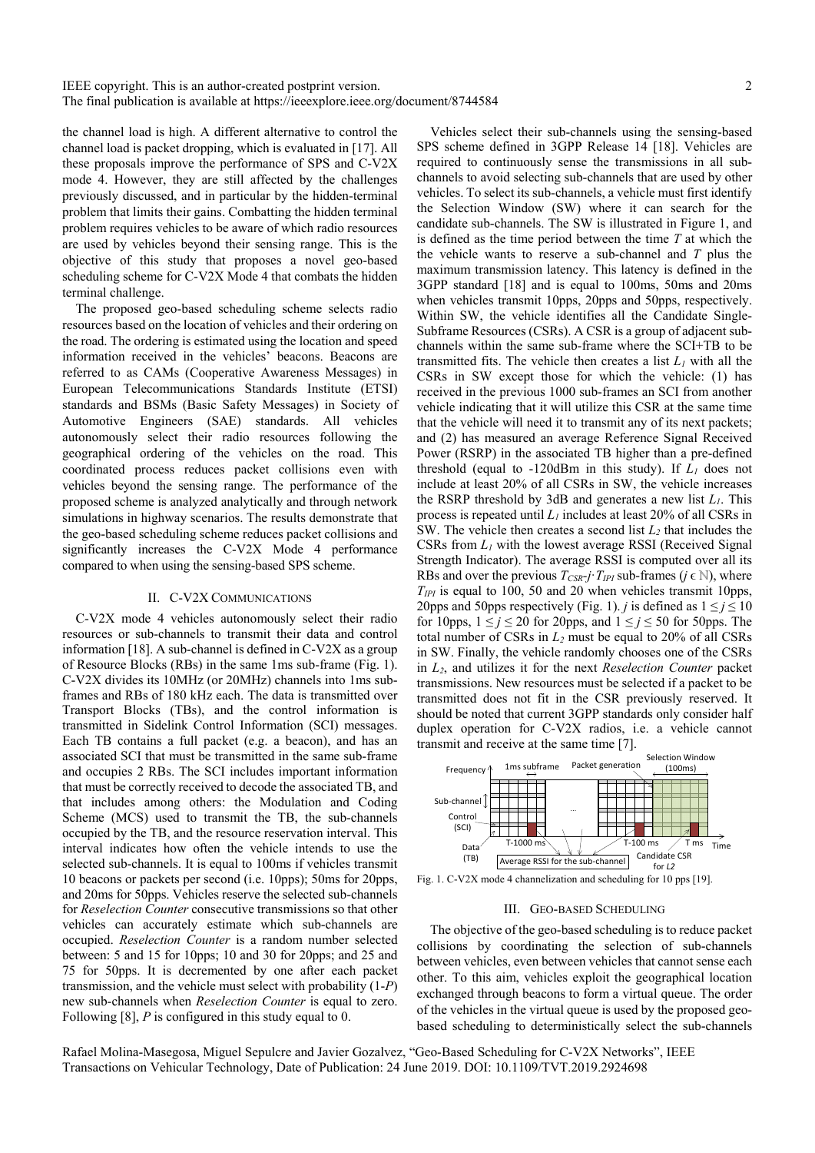the channel load is high. A different alternative to control the channel load is packet dropping, which is evaluated in [17]. All these proposals improve the performance of SPS and C-V2X mode 4. However, they are still affected by the challenges previously discussed, and in particular by the hidden-terminal problem that limits their gains. Combatting the hidden terminal problem requires vehicles to be aware of which radio resources are used by vehicles beyond their sensing range. This is the objective of this study that proposes a novel geo-based scheduling scheme for C-V2X Mode 4 that combats the hidden terminal challenge.

The proposed geo-based scheduling scheme selects radio resources based on the location of vehicles and their ordering on the road. The ordering is estimated using the location and speed information received in the vehicles' beacons. Beacons are referred to as CAMs (Cooperative Awareness Messages) in European Telecommunications Standards Institute (ETSI) standards and BSMs (Basic Safety Messages) in Society of Automotive Engineers (SAE) standards. All vehicles autonomously select their radio resources following the geographical ordering of the vehicles on the road. This coordinated process reduces packet collisions even with vehicles beyond the sensing range. The performance of the proposed scheme is analyzed analytically and through network simulations in highway scenarios. The results demonstrate that the geo-based scheduling scheme reduces packet collisions and significantly increases the C-V2X Mode 4 performance compared to when using the sensing-based SPS scheme.

## II. C-V2X COMMUNICATIONS

C-V2X mode 4 vehicles autonomously select their radio resources or sub-channels to transmit their data and control information [18]. A sub-channel is defined in C-V2X as a group of Resource Blocks (RBs) in the same 1ms sub-frame (Fig. 1). C-V2X divides its 10MHz (or 20MHz) channels into 1ms subframes and RBs of 180 kHz each. The data is transmitted over Transport Blocks (TBs), and the control information is transmitted in Sidelink Control Information (SCI) messages. Each TB contains a full packet (e.g. a beacon), and has an associated SCI that must be transmitted in the same sub-frame and occupies 2 RBs. The SCI includes important information that must be correctly received to decode the associated TB, and that includes among others: the Modulation and Coding Scheme (MCS) used to transmit the TB, the sub-channels occupied by the TB, and the resource reservation interval. This interval indicates how often the vehicle intends to use the selected sub-channels. It is equal to 100ms if vehicles transmit 10 beacons or packets per second (i.e. 10pps); 50ms for 20pps, and 20ms for 50pps. Vehicles reserve the selected sub-channels for *Reselection Counter* consecutive transmissions so that other vehicles can accurately estimate which sub-channels are occupied. *Reselection Counter* is a random number selected between: 5 and 15 for 10pps; 10 and 30 for 20pps; and 25 and 75 for 50pps. It is decremented by one after each packet transmission, and the vehicle must select with probability (1-*P*) new sub-channels when *Reselection Counter* is equal to zero. Following [8], *P* is configured in this study equal to 0.

Vehicles select their sub-channels using the sensing-based SPS scheme defined in 3GPP Release 14 [18]. Vehicles are required to continuously sense the transmissions in all subchannels to avoid selecting sub-channels that are used by other vehicles. To select its sub-channels, a vehicle must first identify the Selection Window (SW) where it can search for the candidate sub-channels. The SW is illustrated in Figure 1, and is defined as the time period between the time *T* at which the the vehicle wants to reserve a sub-channel and *T* plus the maximum transmission latency. This latency is defined in the 3GPP standard [18] and is equal to 100ms, 50ms and 20ms when vehicles transmit 10pps, 20pps and 50pps, respectively. Within SW, the vehicle identifies all the Candidate Single-Subframe Resources (CSRs). A CSR is a group of adjacent subchannels within the same sub-frame where the SCI+TB to be transmitted fits. The vehicle then creates a list  $L_1$  with all the CSRs in SW except those for which the vehicle: (1) has received in the previous 1000 sub-frames an SCI from another vehicle indicating that it will utilize this CSR at the same time that the vehicle will need it to transmit any of its next packets; and (2) has measured an average Reference Signal Received Power (RSRP) in the associated TB higher than a pre-defined threshold (equal to  $-120$ dBm in this study). If  $L_1$  does not include at least 20% of all CSRs in SW, the vehicle increases the RSRP threshold by 3dB and generates a new list *L1*. This process is repeated until  $L_1$  includes at least 20% of all CSRs in SW. The vehicle then creates a second list *L2* that includes the CSRs from  $L_1$  with the lowest average RSSI (Received Signal Strength Indicator). The average RSSI is computed over all its RBs and over the previous  $T_{CSR}$ *i* $\cdot$ *T<sub>IPI</sub>* sub-frames ( $j \in \mathbb{N}$ ), where  $T_{IPI}$  is equal to 100, 50 and 20 when vehicles transmit 10pps, 20pps and 50pps respectively (Fig. 1). *j* is defined as  $1 \le j \le 10$ for 10pps,  $1 \le j \le 20$  for 20pps, and  $1 \le j \le 50$  for 50pps. The total number of CSRs in  $L_2$  must be equal to 20% of all CSRs in SW. Finally, the vehicle randomly chooses one of the CSRs in *L2*, and utilizes it for the next *Reselection Counter* packet transmissions. New resources must be selected if a packet to be transmitted does not fit in the CSR previously reserved. It should be noted that current 3GPP standards only consider half duplex operation for C-V2X radios, i.e. a vehicle cannot transmit and receive at the same time [7].



Fig. 1. C-V2X mode 4 channelization and scheduling for 10 pps [19].

#### III. GEO-BASED SCHEDULING

The objective of the geo-based scheduling is to reduce packet collisions by coordinating the selection of sub-channels between vehicles, even between vehicles that cannot sense each other. To this aim, vehicles exploit the geographical location exchanged through beacons to form a virtual queue. The order of the vehicles in the virtual queue is used by the proposed geobased scheduling to deterministically select the sub-channels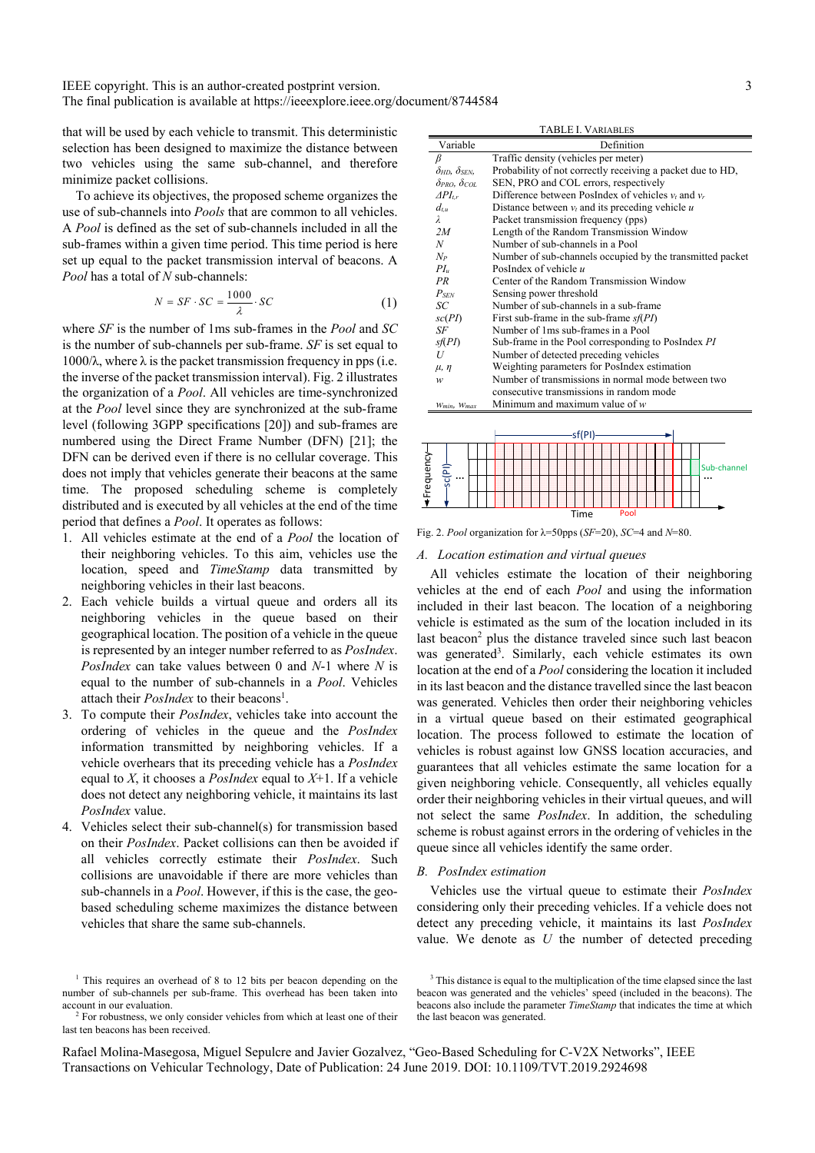that will be used by each vehicle to transmit. This deterministic selection has been designed to maximize the distance between two vehicles using the same sub-channel, and therefore minimize packet collisions.

To achieve its objectives, the proposed scheme organizes the use of sub-channels into *Pools* that are common to all vehicles. A *Pool* is defined as the set of sub-channels included in all the sub-frames within a given time period. This time period is here set up equal to the packet transmission interval of beacons. A *Pool* has a total of *N* sub-channels:

$$
N = SF \cdot SC = \frac{1000}{\lambda} \cdot SC \tag{1}
$$

where *SF* is the number of 1ms sub-frames in the *Pool* and *SC* is the number of sub-channels per sub-frame. *SF* is set equal to  $1000/λ$ , where  $λ$  is the packet transmission frequency in pps (i.e. the inverse of the packet transmission interval). Fig. 2 illustrates the organization of a *Pool*. All vehicles are time-synchronized at the *Pool* level since they are synchronized at the sub-frame level (following 3GPP specifications [20]) and sub-frames are numbered using the Direct Frame Number (DFN) [21]; the DFN can be derived even if there is no cellular coverage. This does not imply that vehicles generate their beacons at the same time. The proposed scheduling scheme is completely distributed and is executed by all vehicles at the end of the time period that defines a *Pool*. It operates as follows:

- 1. All vehicles estimate at the end of a *Pool* the location of their neighboring vehicles. To this aim, vehicles use the location, speed and *TimeStamp* data transmitted by neighboring vehicles in their last beacons.
- 2. Each vehicle builds a virtual queue and orders all its neighboring vehicles in the queue based on their geographical location. The position of a vehicle in the queue is represented by an integer number referred to as *PosIndex*. *PosIndex* can take values between 0 and *N*-1 where *N* is equal to the number of sub-channels in a *Pool*. Vehicles attach their *PosIndex* to their beacons<sup>1</sup>.
- 3. To compute their *PosIndex*, vehicles take into account the ordering of vehicles in the queue and the *PosIndex* information transmitted by neighboring vehicles. If a vehicle overhears that its preceding vehicle has a *PosIndex* equal to *X*, it chooses a *PosIndex* equal to *X*+1. If a vehicle does not detect any neighboring vehicle, it maintains its last *PosIndex* value.
- 4. Vehicles select their sub-channel(s) for transmission based on their *PosIndex*. Packet collisions can then be avoided if all vehicles correctly estimate their *PosIndex*. Such collisions are unavoidable if there are more vehicles than sub-channels in a *Pool*. However, if this is the case, the geobased scheduling scheme maximizes the distance between vehicles that share the same sub-channels.

TABLE I. VARIABLES

| Variable                   | Definition                                                 |  |  |  |  |
|----------------------------|------------------------------------------------------------|--|--|--|--|
| β                          | Traffic density (vehicles per meter)                       |  |  |  |  |
| $\delta$ hd. $\delta$ sen. | Probability of not correctly receiving a packet due to HD, |  |  |  |  |
| $\delta$ pro, $\delta$ col | SEN, PRO and COL errors, respectively                      |  |  |  |  |
| $\Delta PI_{tr}$           | Difference between PosIndex of vehicles $v_t$ and $v_r$    |  |  |  |  |
| $d_{tu}$                   | Distance between $v_t$ and its preceding vehicle u         |  |  |  |  |
| $\lambda$                  | Packet transmission frequency (pps)                        |  |  |  |  |
| 2M                         | Length of the Random Transmission Window                   |  |  |  |  |
| N                          | Number of sub-channels in a Pool                           |  |  |  |  |
| $N_P$                      | Number of sub-channels occupied by the transmitted packet  |  |  |  |  |
| $PL_u$                     | PosIndex of vehicle $u$                                    |  |  |  |  |
| PR                         | Center of the Random Transmission Window                   |  |  |  |  |
| $P_{SEN}$                  | Sensing power threshold                                    |  |  |  |  |
| SC                         | Number of sub-channels in a sub-frame                      |  |  |  |  |
| $\mathfrak{SC}(PI)$        | First sub-frame in the sub-frame $s(PI)$                   |  |  |  |  |
| SF                         | Number of 1ms sub-frames in a Pool                         |  |  |  |  |
| $s$ f(PI)                  | Sub-frame in the Pool corresponding to PosIndex PI         |  |  |  |  |
| U                          | Number of detected preceding vehicles                      |  |  |  |  |
| $\mu$ , $\eta$             | Weighting parameters for PosIndex estimation               |  |  |  |  |
| w                          | Number of transmissions in normal mode between two         |  |  |  |  |
|                            | consecutive transmissions in random mode                   |  |  |  |  |
| Wmin, Wmax                 | Minimum and maximum value of $w$                           |  |  |  |  |
|                            |                                                            |  |  |  |  |



Fig. 2. *Pool* organization for λ=50pps (*SF*=20), *SC*=4 and *N*=80.

#### *A. Location estimation and virtual queues*

All vehicles estimate the location of their neighboring vehicles at the end of each *Pool* and using the information included in their last beacon. The location of a neighboring vehicle is estimated as the sum of the location included in its last beacon<sup>2</sup> plus the distance traveled since such last beacon was generated<sup>3</sup>. Similarly, each vehicle estimates its own location at the end of a *Pool* considering the location it included in its last beacon and the distance travelled since the last beacon was generated. Vehicles then order their neighboring vehicles in a virtual queue based on their estimated geographical location. The process followed to estimate the location of vehicles is robust against low GNSS location accuracies, and guarantees that all vehicles estimate the same location for a given neighboring vehicle. Consequently, all vehicles equally order their neighboring vehicles in their virtual queues, and will not select the same *PosIndex*. In addition, the scheduling scheme is robust against errors in the ordering of vehicles in the queue since all vehicles identify the same order.

#### *B. PosIndex estimation*

Vehicles use the virtual queue to estimate their *PosIndex* considering only their preceding vehicles. If a vehicle does not detect any preceding vehicle, it maintains its last *PosIndex* value. We denote as *U* the number of detected preceding

<sup>&</sup>lt;sup>1</sup> This requires an overhead of 8 to 12 bits per beacon depending on the number of sub-channels per sub-frame. This overhead has been taken into account in our evaluation.

<sup>&</sup>lt;sup>2</sup> For robustness, we only consider vehicles from which at least one of their last ten beacons has been received.

<sup>&</sup>lt;sup>3</sup> This distance is equal to the multiplication of the time elapsed since the last beacon was generated and the vehicles' speed (included in the beacons). The beacons also include the parameter *TimeStamp* that indicates the time at which the last beacon was generated.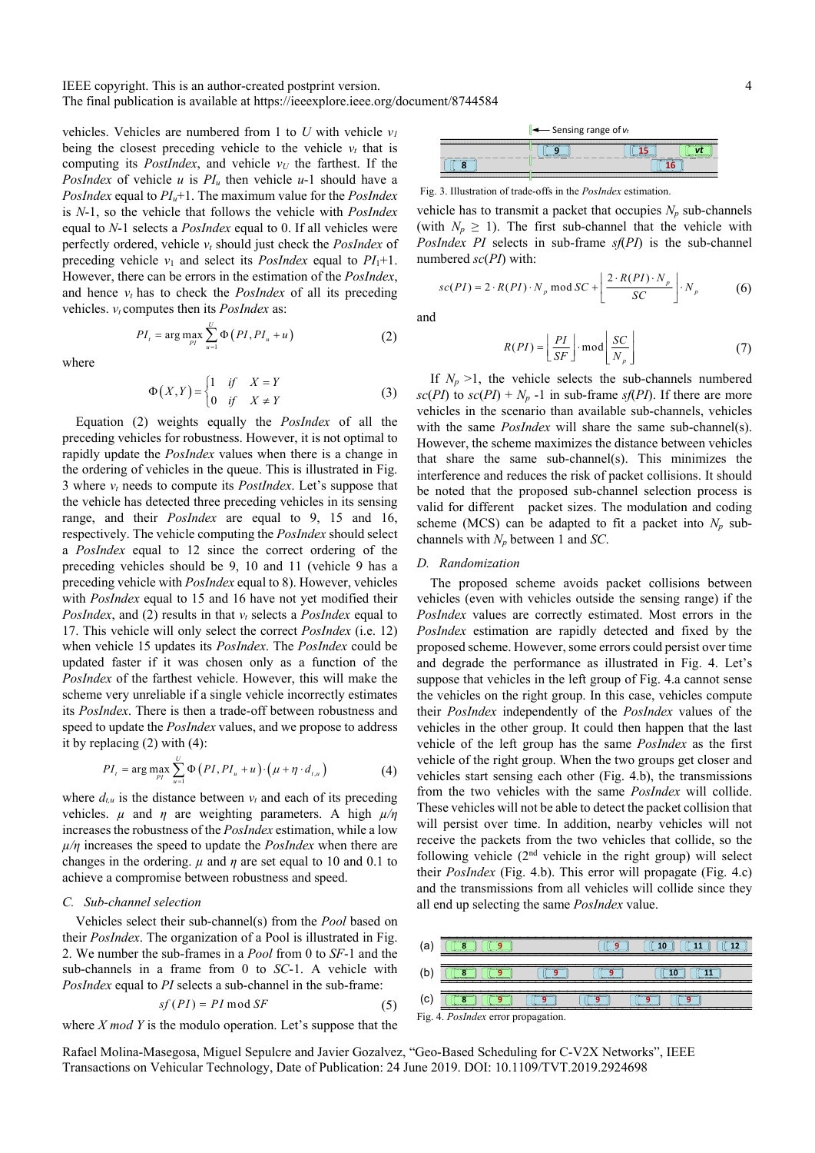IEEE copyright. This is an author-created postprint version.

The final publication is available at https://ieeexplore.ieee.org/document/8744584

vehicles. Vehicles are numbered from 1 to  $U$  with vehicle  $v_I$ being the closest preceding vehicle to the vehicle  $v_t$  that is computing its *PostIndex*, and vehicle  $v_U$  the farthest. If the *PosIndex* of vehicle *u* is  $PI_u$  then vehicle *u*-1 should have a *PosIndex* equal to *PIu*+1. The maximum value for the *PosIndex* is *N*-1, so the vehicle that follows the vehicle with *PosIndex* equal to *N*-1 selects a *PosIndex* equal to 0. If all vehicles were perfectly ordered, vehicle *vt* should just check the *PosIndex* of preceding vehicle  $v_1$  and select its *PosIndex* equal to  $PI_1+1$ . However, there can be errors in the estimation of the *PosIndex*, and hence  $v_t$  has to check the *PosIndex* of all its preceding vehicles.  $v_t$  computes then its *PosIndex* as:

$$
PI_{t} = \arg \max_{PI} \sum_{u=1}^{U} \Phi\left(PI, PI_{u} + u\right) \tag{2}
$$

where

$$
\Phi(X,Y) = \begin{cases} 1 & \text{if } X = Y \\ 0 & \text{if } X \neq Y \end{cases}
$$
 (3)

Equation (2) weights equally the *PosIndex* of all the preceding vehicles for robustness. However, it is not optimal to rapidly update the *PosIndex* values when there is a change in the ordering of vehicles in the queue. This is illustrated in Fig. 3 where *vt* needs to compute its *PostIndex*. Let's suppose that the vehicle has detected three preceding vehicles in its sensing range, and their *PosIndex* are equal to 9, 15 and 16, respectively. The vehicle computing the *PosIndex* should select a *PosIndex* equal to 12 since the correct ordering of the preceding vehicles should be 9, 10 and 11 (vehicle 9 has a preceding vehicle with *PosIndex* equal to 8). However, vehicles with *PosIndex* equal to 15 and 16 have not yet modified their *PosIndex*, and (2) results in that  $v_t$  selects a *PosIndex* equal to 17. This vehicle will only select the correct *PosIndex* (i.e. 12) when vehicle 15 updates its *PosIndex*. The *PosIndex* could be updated faster if it was chosen only as a function of the *PosIndex* of the farthest vehicle. However, this will make the scheme very unreliable if a single vehicle incorrectly estimates its *PosIndex*. There is then a trade-off between robustness and speed to update the *PosIndex* values, and we propose to address it by replacing (2) with (4):

$$
PI_{t} = \arg \max_{PI} \sum_{u=1}^{U} \Phi\left(PI, PI_{u} + u\right) \cdot \left(\mu + \eta \cdot d_{t,u}\right) \tag{4}
$$

where  $d_{t,u}$  is the distance between  $v_t$  and each of its preceding vehicles.  $\mu$  and  $\eta$  are weighting parameters. A high  $\mu/\eta$ increases the robustness of the *PosIndex* estimation, while a low *µ/η* increases the speed to update the *PosIndex* when there are changes in the ordering.  $\mu$  and  $\eta$  are set equal to 10 and 0.1 to achieve a compromise between robustness and speed.

## *C. Sub-channel selection*

Vehicles select their sub-channel(s) from the *Pool* based on their *PosIndex*. The organization of a Pool is illustrated in Fig. 2. We number the sub-frames in a *Pool* from 0 to *SF*-1 and the sub-channels in a frame from 0 to *SC*-1. A vehicle with *PosIndex* equal to *PI* selects a sub-channel in the sub-frame:

$$
sf(PI) = PI \bmod SF
$$
 (5)

where *X mod Y* is the modulo operation. Let's suppose that the



Fig. 3. Illustration of trade-offs in the *PosIndex* estimation.

vehicle has to transmit a packet that occupies  $N_p$  sub-channels (with  $N_p \geq 1$ ). The first sub-channel that the vehicle with *PosIndex PI* selects in sub-frame *sf*(*PI*) is the sub-channel numbered *sc*(*PI*) with:

$$
sc(PI) = 2 \cdot R(PI) \cdot N_p \mod SC + \left[ \frac{2 \cdot R(PI) \cdot N_p}{SC} \right] \cdot N_p \tag{6}
$$

and

$$
R(PI) = \left\lfloor \frac{PI}{SF} \right\rfloor \cdot \text{mod} \left\lfloor \frac{SC}{N_p} \right\rfloor \tag{7}
$$

If  $N_p > 1$ , the vehicle selects the sub-channels numbered  $\frac{sc(PI)}{dr}$  to  $\frac{sc(PI)}{dr} + N_p$  -1 in sub-frame  $\frac{sf(PI)}{dr}$ . If there are more vehicles in the scenario than available sub-channels, vehicles with the same *PosIndex* will share the same sub-channel(s). However, the scheme maximizes the distance between vehicles that share the same sub-channel(s). This minimizes the interference and reduces the risk of packet collisions. It should be noted that the proposed sub-channel selection process is valid for different packet sizes. The modulation and coding scheme (MCS) can be adapted to fit a packet into  $N_p$  subchannels with *Np* between 1 and *SC*.

## *D. Randomization*

The proposed scheme avoids packet collisions between vehicles (even with vehicles outside the sensing range) if the *PosIndex* values are correctly estimated. Most errors in the *PosIndex* estimation are rapidly detected and fixed by the proposed scheme. However, some errors could persist over time and degrade the performance as illustrated in Fig. 4. Let's suppose that vehicles in the left group of Fig. 4.a cannot sense the vehicles on the right group. In this case, vehicles compute their *PosIndex* independently of the *PosIndex* values of the vehicles in the other group. It could then happen that the last vehicle of the left group has the same *PosIndex* as the first vehicle of the right group. When the two groups get closer and vehicles start sensing each other (Fig. 4.b), the transmissions from the two vehicles with the same *PosIndex* will collide. These vehicles will not be able to detect the packet collision that will persist over time. In addition, nearby vehicles will not receive the packets from the two vehicles that collide, so the following vehicle  $(2<sup>nd</sup>$  vehicle in the right group) will select their *PosIndex* (Fig. 4.b). This error will propagate (Fig. 4.c) and the transmissions from all vehicles will collide since they all end up selecting the same *PosIndex* value.

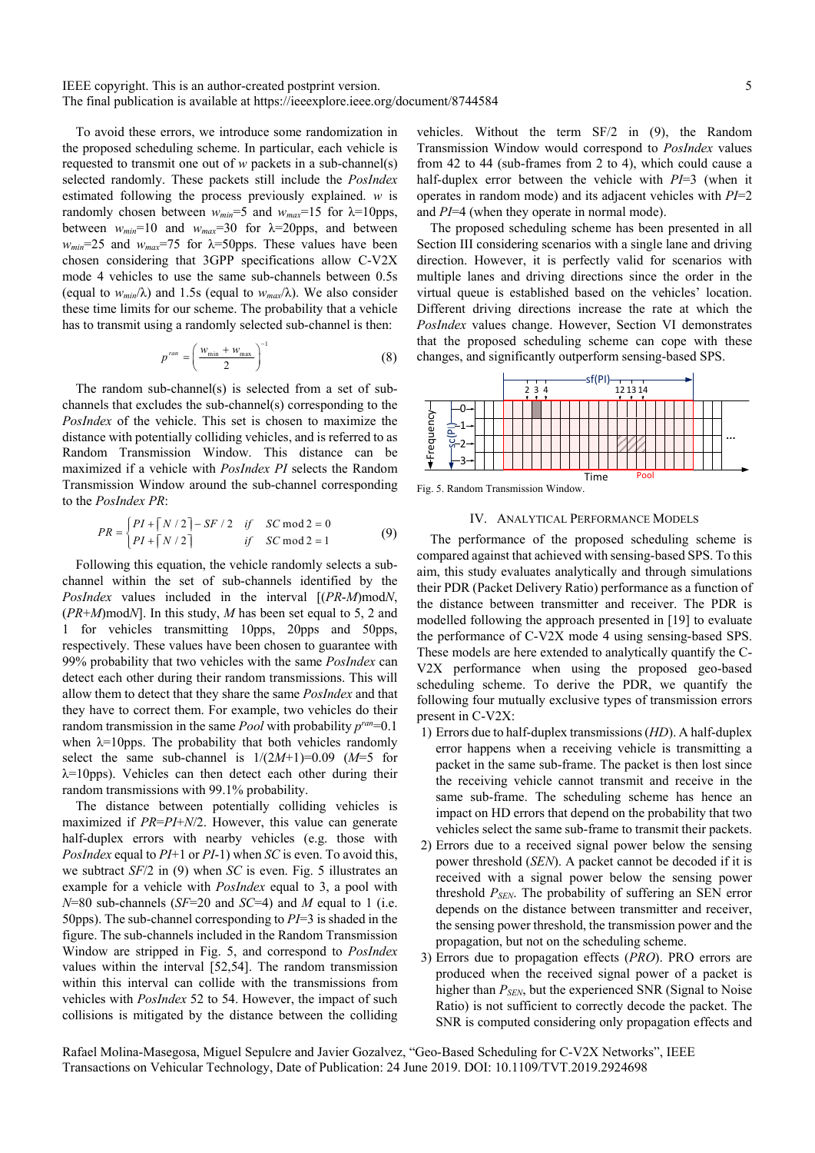To avoid these errors, we introduce some randomization in the proposed scheduling scheme. In particular, each vehicle is requested to transmit one out of *w* packets in a sub-channel(s) selected randomly. These packets still include the *PosIndex* estimated following the process previously explained. *w* is randomly chosen between *wmin*=5 and *wmax*=15 for λ=10pps, between  $w_{min}$ =10 and  $w_{max}$ =30 for  $\lambda$ =20pps, and between  $w_{min}$ =25 and  $w_{max}$ =75 for  $\lambda$ =50pps. These values have been chosen considering that 3GPP specifications allow C-V2X mode 4 vehicles to use the same sub-channels between 0.5s (equal to  $w_{min}/\lambda$ ) and 1.5s (equal to  $w_{max}/\lambda$ ). We also consider these time limits for our scheme. The probability that a vehicle has to transmit using a randomly selected sub-channel is then:

$$
p^{ran} = \left(\frac{w_{\min} + w_{\max}}{2}\right)^{-1}
$$
 (8)

The random sub-channel(s) is selected from a set of subchannels that excludes the sub-channel(s) corresponding to the *PosIndex* of the vehicle. This set is chosen to maximize the distance with potentially colliding vehicles, and is referred to as Random Transmission Window. This distance can be maximized if a vehicle with *PosIndex PI* selects the Random Transmission Window around the sub-channel corresponding to the *PosIndex PR*:

$$
PR = \begin{cases} PI + \lceil N/2 \rceil - SF/2 & \text{if } SC \text{ mod } 2 = 0 \\ PI + \lceil N/2 \rceil & \text{if } SC \text{ mod } 2 = 1 \end{cases}
$$
(9)

Following this equation, the vehicle randomly selects a subchannel within the set of sub-channels identified by the *PosIndex* values included in the interval [(*PR*-*M*)mod*N*, (*PR*+*M*)mod*N*]. In this study, *M* has been set equal to 5, 2 and 1 for vehicles transmitting 10pps, 20pps and 50pps, respectively. These values have been chosen to guarantee with 99% probability that two vehicles with the same *PosIndex* can detect each other during their random transmissions. This will allow them to detect that they share the same *PosIndex* and that they have to correct them. For example, two vehicles do their random transmission in the same *Pool* with probability  $p^{ran}=0.1$ when  $\lambda$ =10pps. The probability that both vehicles randomly select the same sub-channel is  $1/(2M+1)=0.09$  ( $M=5$  for  $\lambda$ =10pps). Vehicles can then detect each other during their random transmissions with 99.1% probability.

The distance between potentially colliding vehicles is maximized if *PR*=*PI*+*N*/2. However, this value can generate half-duplex errors with nearby vehicles (e.g. those with *PosIndex* equal to *PI*+1 or *PI*-1) when *SC* is even. To avoid this, we subtract *SF*/2 in (9) when *SC* is even. Fig. 5 illustrates an example for a vehicle with *PosIndex* equal to 3, a pool with *N*=80 sub-channels (*SF*=20 and *SC*=4) and *M* equal to 1 (i.e. 50pps). The sub-channel corresponding to *PI*=3 is shaded in the figure. The sub-channels included in the Random Transmission Window are stripped in Fig. 5, and correspond to *PosIndex* values within the interval [52,54]. The random transmission within this interval can collide with the transmissions from vehicles with *PosIndex* 52 to 54. However, the impact of such collisions is mitigated by the distance between the colliding vehicles. Without the term SF/2 in (9), the Random Transmission Window would correspond to *PosIndex* values from 42 to 44 (sub-frames from 2 to 4), which could cause a half-duplex error between the vehicle with *PI*=3 (when it operates in random mode) and its adjacent vehicles with *PI*=2 and *PI*=4 (when they operate in normal mode).

The proposed scheduling scheme has been presented in all Section III considering scenarios with a single lane and driving direction. However, it is perfectly valid for scenarios with multiple lanes and driving directions since the order in the virtual queue is established based on the vehicles' location. Different driving directions increase the rate at which the *PosIndex* values change. However, Section VI demonstrates that the proposed scheduling scheme can cope with these changes, and significantly outperform sensing-based SPS.



Fig. 5. Random Transmission Window.

# IV. ANALYTICAL PERFORMANCE MODELS

The performance of the proposed scheduling scheme is compared against that achieved with sensing-based SPS. To this aim, this study evaluates analytically and through simulations their PDR (Packet Delivery Ratio) performance as a function of the distance between transmitter and receiver. The PDR is modelled following the approach presented in [19] to evaluate the performance of C-V2X mode 4 using sensing-based SPS. These models are here extended to analytically quantify the C-V2X performance when using the proposed geo-based scheduling scheme. To derive the PDR, we quantify the following four mutually exclusive types of transmission errors present in C-V2X:

- 1) Errors due to half-duplex transmissions (*HD*). A half-duplex error happens when a receiving vehicle is transmitting a packet in the same sub-frame. The packet is then lost since the receiving vehicle cannot transmit and receive in the same sub-frame. The scheduling scheme has hence an impact on HD errors that depend on the probability that two vehicles select the same sub-frame to transmit their packets.
- 2) Errors due to a received signal power below the sensing power threshold (*SEN*). A packet cannot be decoded if it is received with a signal power below the sensing power threshold *PSEN*. The probability of suffering an SEN error depends on the distance between transmitter and receiver, the sensing power threshold, the transmission power and the propagation, but not on the scheduling scheme.
- 3) Errors due to propagation effects (*PRO*). PRO errors are produced when the received signal power of a packet is higher than *PSEN*, but the experienced SNR (Signal to Noise Ratio) is not sufficient to correctly decode the packet. The SNR is computed considering only propagation effects and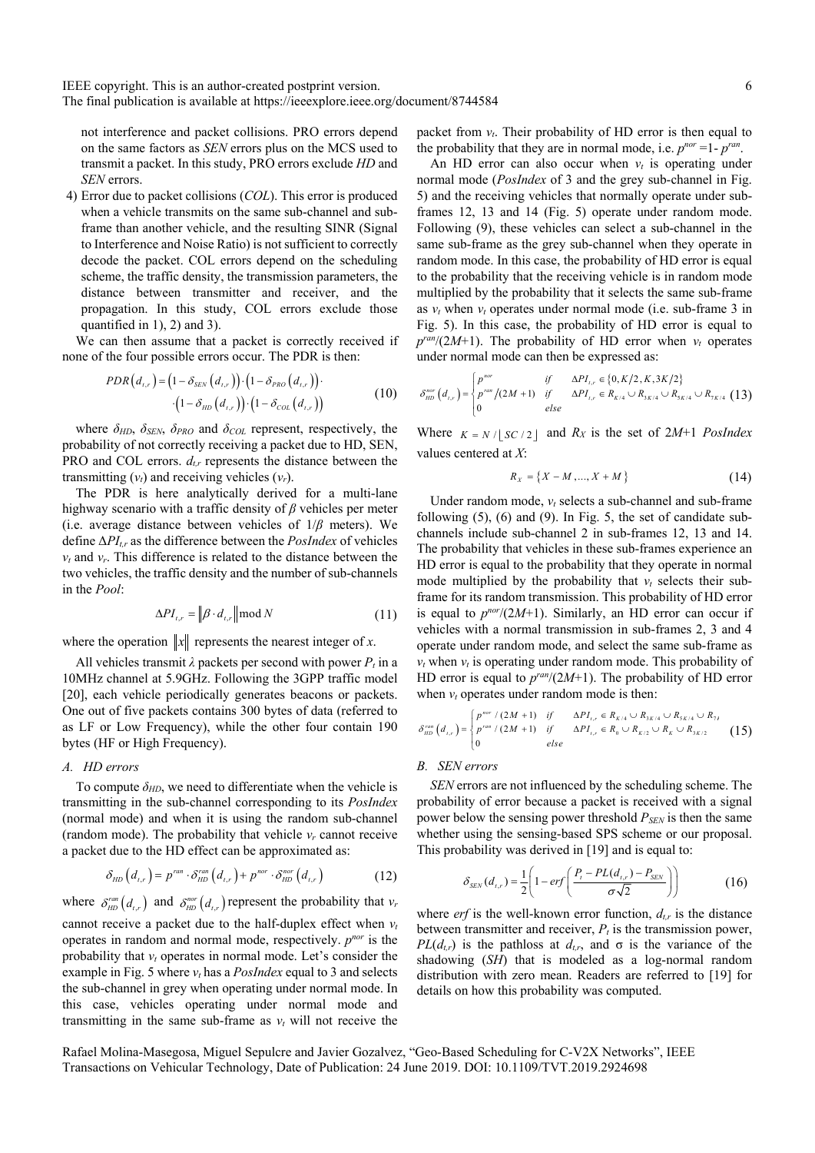not interference and packet collisions. PRO errors depend on the same factors as *SEN* errors plus on the MCS used to transmit a packet. In this study, PRO errors exclude *HD* and *SEN* errors.

4) Error due to packet collisions (*COL*). This error is produced when a vehicle transmits on the same sub-channel and subframe than another vehicle, and the resulting SINR (Signal to Interference and Noise Ratio) is not sufficient to correctly decode the packet. COL errors depend on the scheduling scheme, the traffic density, the transmission parameters, the distance between transmitter and receiver, and the propagation. In this study, COL errors exclude those quantified in  $1$ ,  $2$ ) and  $3$ ).

We can then assume that a packet is correctly received if none of the four possible errors occur. The PDR is then:

$$
PDR(d_{t,r}) = (1 - \delta_{SEN}(d_{t,r})) \cdot (1 - \delta_{PRO}(d_{t,r})) \cdot (1 - \delta_{COL}(d_{t,r})) \cdot (1 - \delta_{COL}(d_{t,r})) \tag{10}
$$

where *δHD*, *δSEN*, *δPRO* and *δCOL* represent, respectively, the probability of not correctly receiving a packet due to HD, SEN, PRO and COL errors.  $d_{tr}$  represents the distance between the transmitting  $(v_t)$  and receiving vehicles  $(v_r)$ .

The PDR is here analytically derived for a multi-lane highway scenario with a traffic density of *β* vehicles per meter (i.e. average distance between vehicles of 1/*β* meters). We define Δ*PIt,r* as the difference between the *PosIndex* of vehicles  $v_t$  and  $v_r$ . This difference is related to the distance between the two vehicles, the traffic density and the number of sub-channels in the *Pool*:

$$
\Delta PI_{t,r} = \left\| \beta \cdot d_{t,r} \right\| \mod N \tag{11}
$$

where the operation  $||x||$  represents the nearest integer of *x*.

All vehicles transmit  $\lambda$  packets per second with power  $P_t$  in a 10MHz channel at 5.9GHz. Following the 3GPP traffic model [20], each vehicle periodically generates beacons or packets. One out of five packets contains 300 bytes of data (referred to as LF or Low Frequency), while the other four contain 190 bytes (HF or High Frequency).

## *A. HD errors*

To compute  $\delta_{HD}$ , we need to differentiate when the vehicle is transmitting in the sub-channel corresponding to its *PosIndex* (normal mode) and when it is using the random sub-channel (random mode). The probability that vehicle  $v_r$  cannot receive a packet due to the HD effect can be approximated as:

$$
\delta_{HD}\left(d_{t,r}\right) = p^{ran} \cdot \delta_{HD}^{ran}\left(d_{t,r}\right) + p^{nor} \cdot \delta_{HD}^{nor}\left(d_{t,r}\right) \tag{12}
$$

where  $\delta_{HD}^{ran}(d_{t,r})$  and  $\delta_{HD}^{nor}(d_{t,r})$  represent the probability that  $v_r$ cannot receive a packet due to the half-duplex effect when  $v_t$ operates in random and normal mode, respectively. *pnor* is the probability that  $v_t$  operates in normal mode. Let's consider the example in Fig. 5 where  $v_t$  has a *PosIndex* equal to 3 and selects the sub-channel in grey when operating under normal mode. In this case, vehicles operating under normal mode and transmitting in the same sub-frame as  $v_t$  will not receive the packet from  $v_t$ . Their probability of HD error is then equal to the probability that they are in normal mode, i.e.  $p^{nor} = 1 - p^{ran}$ .

An HD error can also occur when  $v_t$  is operating under normal mode (*PosIndex* of 3 and the grey sub-channel in Fig. 5) and the receiving vehicles that normally operate under subframes 12, 13 and 14 (Fig. 5) operate under random mode. Following (9), these vehicles can select a sub-channel in the same sub-frame as the grey sub-channel when they operate in random mode. In this case, the probability of HD error is equal to the probability that the receiving vehicle is in random mode multiplied by the probability that it selects the same sub-frame as  $v_t$  when  $v_t$  operates under normal mode (i.e. sub-frame 3 in Fig. 5). In this case, the probability of HD error is equal to  $p^{ran}/(2M+1)$ . The probability of HD error when  $v_t$  operates under normal mode can then be expressed as:

$$
\delta_{HD}^{nor}(d_{t,r}) = \begin{cases} p^{nor} & if & \Delta PI_{t,r} \in \{0, K/2, K, 3K/2\} \\ p^{ran}/(2M+1) & if & \Delta PI_{t,r} \in R_{K/4} \cup R_{3K/4} \cup R_{5K/4} \cup R_{7K/4} \ (13) \\ 0 & else \end{cases}
$$

Where  $K = N / |SC / 2|$  and  $R_X$  is the set of 2*M*+1 *PosIndex* values centered at *X*:

$$
R_X = \{X - M, ..., X + M\}
$$
 (14)

Under random mode,  $v_t$  selects a sub-channel and sub-frame following (5), (6) and (9). In Fig. 5, the set of candidate subchannels include sub-channel 2 in sub-frames 12, 13 and 14. The probability that vehicles in these sub-frames experience an HD error is equal to the probability that they operate in normal mode multiplied by the probability that  $v_t$  selects their subframe for its random transmission. This probability of HD error is equal to  $p^{nor}/(2M+1)$ . Similarly, an HD error can occur if vehicles with a normal transmission in sub-frames 2, 3 and 4 operate under random mode, and select the same sub-frame as  $v_t$  when  $v_t$  is operating under random mode. This probability of HD error is equal to *pran*/(2*M*+1). The probability of HD error when  $v_t$  operates under random mode is then:

$$
\delta_{HD}^{ran}(d_{t,r}) = \begin{cases} p^{nor} / (2M+1) & if & \Delta PI_{t,r} \in R_{K/4} \cup R_{3K/4} \cup R_{5K/4} \cup R_{7k} \\ p^{ran} / (2M+1) & if & \Delta PI_{t,r} \in R_0 \cup R_{K/2} \cup R_K \cup R_{3K/2} \\ 0 & else \end{cases}
$$
(15)

# *B. SEN errors*

*SEN* errors are not influenced by the scheduling scheme. The probability of error because a packet is received with a signal power below the sensing power threshold  $P_{SEN}$  is then the same whether using the sensing-based SPS scheme or our proposal. This probability was derived in [19] and is equal to:

$$
\delta_{SEN}(d_{t,r}) = \frac{1}{2} \left( 1 - erf \left( \frac{P_t - PL(d_{t,r}) - P_{SEN}}{\sigma \sqrt{2}} \right) \right) \tag{16}
$$

where *erf* is the well-known error function,  $d_{tr}$  is the distance between transmitter and receiver,  $P_t$  is the transmission power, *PL*( $d_{t,r}$ ) is the pathloss at  $d_{t,r}$ , and  $\sigma$  is the variance of the shadowing (*SH*) that is modeled as a log-normal random distribution with zero mean. Readers are referred to [19] for details on how this probability was computed.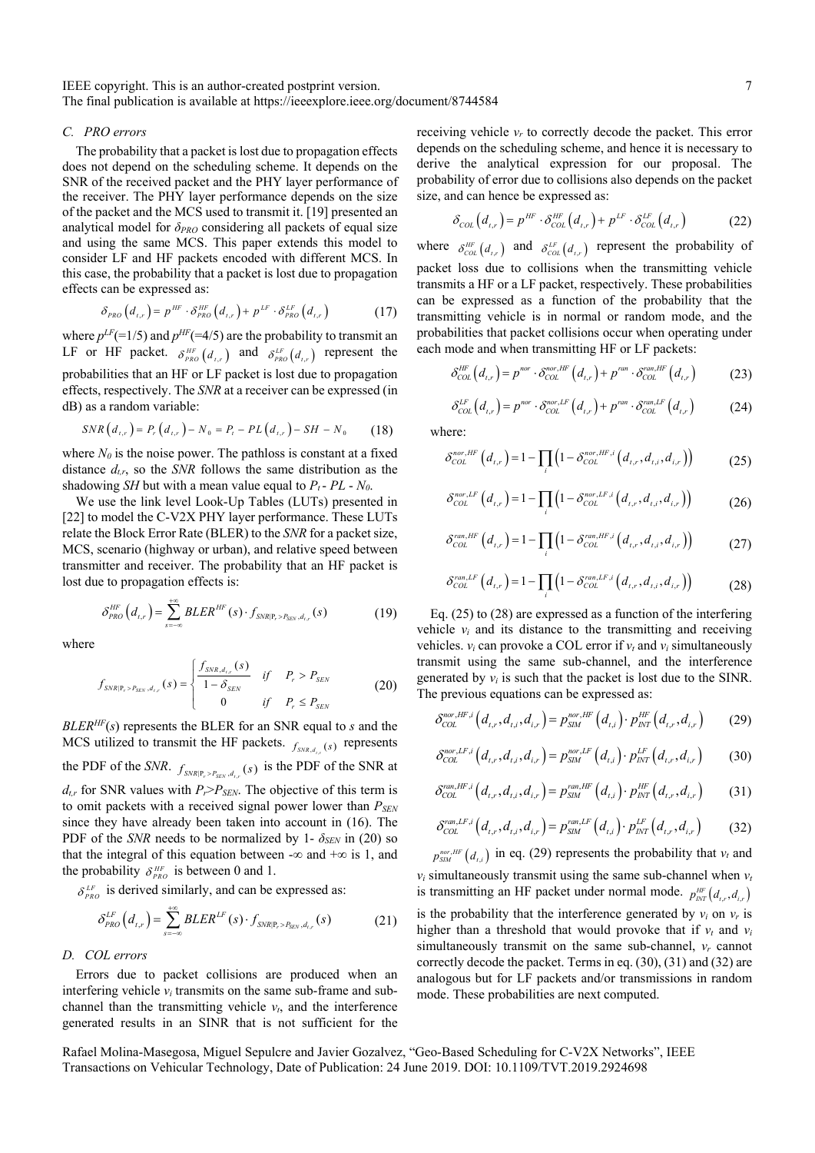### *C. PRO errors*

The probability that a packet is lost due to propagation effects does not depend on the scheduling scheme. It depends on the SNR of the received packet and the PHY layer performance of the receiver. The PHY layer performance depends on the size of the packet and the MCS used to transmit it. [19] presented an analytical model for *δPRO* considering all packets of equal size and using the same MCS. This paper extends this model to consider LF and HF packets encoded with different MCS. In this case, the probability that a packet is lost due to propagation effects can be expressed as:

$$
\delta_{PRO}\left(d_{t,r}\right) = p^{HF} \cdot \delta_{PRO}^{HF}\left(d_{t,r}\right) + p^{LF} \cdot \delta_{PRO}^{LF}\left(d_{t,r}\right) \tag{17}
$$

where  $p^{LF}$ (=1/5) and  $p^{HF}$ (=4/5) are the probability to transmit an LF or HF packet.  $\delta_{PRO}^{HF}(d_{t,r})$  and  $\delta_{PRO}^{LF}(d_{t,r})$  represent the probabilities that an HF or LF packet is lost due to propagation effects, respectively. The *SNR* at a receiver can be expressed (in dB) as a random variable:

$$
SNR(d_{t,r}) = P_r(d_{t,r}) - N_0 = P_r - PL(d_{t,r}) - SH - N_0 \tag{18}
$$

where  $N_0$  is the noise power. The pathloss is constant at a fixed distance *dt,r*, so the *SNR* follows the same distribution as the shadowing *SH* but with a mean value equal to  $P_t$  -  $PL$  -  $N_0$ .

We use the link level Look-Up Tables (LUTs) presented in [22] to model the C-V2X PHY layer performance. These LUTs relate the Block Error Rate (BLER) to the *SNR* for a packet size, MCS, scenario (highway or urban), and relative speed between transmitter and receiver. The probability that an HF packet is lost due to propagation effects is:

$$
\delta_{PRO}^{HF}(d_{t,r}) = \sum_{s=-\infty}^{+\infty} BLER^{HF}(s) \cdot f_{SNR|P_r > P_{SEN}, d_{t,r}}(s)
$$
(19)

where

$$
f_{SNR|P_r > P_{SEN}, d_{i,r}}(s) = \begin{cases} \frac{f_{SNR, d_{i,r}}(s)}{1 - \delta_{SEN}} & if P_r > P_{SEN} \\ 0 & if P_r \le P_{SEN} \end{cases}
$$
(20)

*BLERHF*(*s*) represents the BLER for an SNR equal to *s* and the MCS utilized to transmit the HF packets.  $\hat{f}_{SNR,d}$  *(s)* represents the PDF of the *SNR*.  $f_{SNR|P, > P_{cav}, d_{av}}(s)$  is the PDF of the SNR at  $d_{tr}$  for SNR values with  $P_r > P_{SEN}$ . The objective of this term is to omit packets with a received signal power lower than  $P_{SEN}$ since they have already been taken into account in (16). The PDF of the *SNR* needs to be normalized by 1-  $\delta_{SEN}$  in (20) so that the integral of this equation between - $\infty$  and + $\infty$  is 1, and the probability  $\delta_{PRO}^{HF}$  is between 0 and 1.

 $\delta_{PRO}^{LF}$  is derived similarly, and can be expressed as:

$$
\delta_{PRO}^{LF}(d_{t,r}) = \sum_{s=-\infty}^{+\infty} BLER^{LF}(s) \cdot f_{SNR|P_r > P_{SEN}, d_{t,r}}(s)
$$
(21)

# *D. COL errors*

Errors due to packet collisions are produced when an interfering vehicle  $v_i$  transmits on the same sub-frame and subchannel than the transmitting vehicle  $v_t$ , and the interference generated results in an SINR that is not sufficient for the receiving vehicle  $v_r$  to correctly decode the packet. This error depends on the scheduling scheme, and hence it is necessary to derive the analytical expression for our proposal. The probability of error due to collisions also depends on the packet size, and can hence be expressed as:

$$
\delta_{COL}\left(d_{t,r}\right) = p^{HF} \cdot \delta_{COL}^{HF}\left(d_{t,r}\right) + p^{LF} \cdot \delta_{COL}^{LF}\left(d_{t,r}\right) \tag{22}
$$

where  $\delta_{\text{COL}}^{\text{HF}}(d_{t,r})$  and  $\delta_{\text{COL}}^{\text{LF}}(d_{t,r})$  represent the probability of packet loss due to collisions when the transmitting vehicle transmits a HF or a LF packet, respectively. These probabilities can be expressed as a function of the probability that the transmitting vehicle is in normal or random mode, and the probabilities that packet collisions occur when operating under each mode and when transmitting HF or LF packets:

$$
\delta_{COL}^{HF}(d_{t,r}) = p^{nor} \cdot \delta_{COL}^{nor, HF}(d_{t,r}) + p^{ran} \cdot \delta_{COL}^{con, HF}(d_{t,r})
$$
 (23)

$$
\delta_{COL}^{LF}(d_{t,r}) = p^{nor} \cdot \delta_{COL}^{nor,LF}(d_{t,r}) + p^{ran} \cdot \delta_{COL}^{ran,LF}(d_{t,r})
$$
(24)

where:

$$
\delta_{COL}^{nor, HF} (d_{t,r}) = 1 - \prod_{i} \left( 1 - \delta_{COL}^{nor, HF, i} (d_{t,r}, d_{t,i}, d_{i,r}) \right)
$$
(25)

$$
\delta_{COL}^{nor,LF}(d_{t,r}) = 1 - \prod_{i} \left( 1 - \delta_{COL}^{nor,LF,i}(d_{t,r}, d_{t,i}, d_{i,r}) \right)
$$
 (26)

$$
\delta_{COL}^{ran, HF} (d_{t,r}) = 1 - \prod_{i} \left( 1 - \delta_{COL}^{ran, HF, i} (d_{t,r}, d_{t,i}, d_{i,r}) \right)
$$
 (27)

$$
\delta_{COL}^{ran,LF}(d_{t,r}) = 1 - \prod_{i} \left(1 - \delta_{COL}^{ran,LF,i}(d_{t,r}, d_{t,i}, d_{i,r})\right)
$$
(28)

Eq. (25) to (28) are expressed as a function of the interfering vehicle  $v_i$  and its distance to the transmitting and receiving vehicles.  $v_i$  can provoke a COL error if  $v_i$  and  $v_i$  simultaneously transmit using the same sub-channel, and the interference generated by  $v_i$  is such that the packet is lost due to the SINR. The previous equations can be expressed as:

$$
\delta_{COL}^{nor, HF, i} \left( d_{t,r}, d_{t,i}, d_{i,r} \right) = p_{SIM}^{nor, HF} \left( d_{t,i} \right) \cdot p_{INT}^{HF} \left( d_{t,r}, d_{i,r} \right) \tag{29}
$$

$$
\delta_{COL}^{nor,LF,i}\left(d_{t,r}, d_{t,i}, d_{i,r}\right) = p_{SIM}^{nor,LF}\left(d_{t,i}\right) \cdot p_{INT}^{LF}\left(d_{t,r}, d_{i,r}\right) \tag{30}
$$

$$
\delta_{COL}^{ran, HF, i} (d_{t,r}, d_{t,i}, d_{i,r}) = p_{SIM}^{ran, HF} (d_{t,i}) \cdot p_{INT}^{HF} (d_{t,r}, d_{i,r}) \qquad (31)
$$

$$
\delta_{COL}^{ram,LF,i} (d_{t,r}, d_{t,i}, d_{i,r}) = p_{SIM}^{ram,LF} (d_{t,i}) \cdot p_{INT}^{LF} (d_{t,r}, d_{i,r}) \tag{32}
$$

 $p_{SM}^{nor, HF}(d_{i,i})$  in eq. (29) represents the probability that  $v_t$  and  $v_i$  simultaneously transmit using the same sub-channel when  $v_t$ 

is transmitting an HF packet under normal mode.  $p_{NT}^{HF}(d_{i,r}, d_{i,r})$ is the probability that the interference generated by  $v_i$  on  $v_r$  is higher than a threshold that would provoke that if  $v_t$  and  $v_i$ simultaneously transmit on the same sub-channel, *vr* cannot correctly decode the packet. Terms in eq. (30), (31) and (32) are analogous but for LF packets and/or transmissions in random mode. These probabilities are next computed.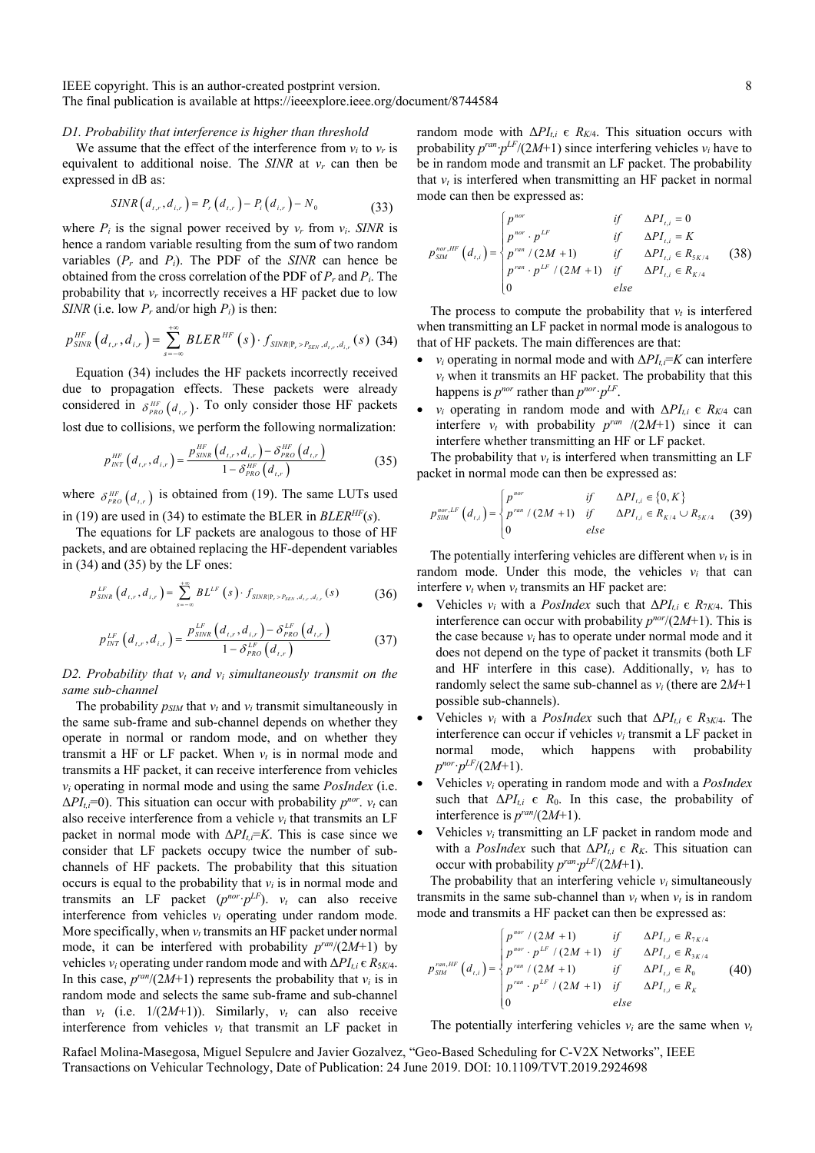## *D1. Probability that interference is higher than threshold*

We assume that the effect of the interference from  $v_i$  to  $v_r$  is equivalent to additional noise. The *SINR* at *vr* can then be expressed in dB as:

$$
SINR(d_{t,r}, d_{i,r}) = P_r(d_{t,r}) - P_i(d_{i,r}) - N_0
$$
\n(33)

where  $P_i$  is the signal power received by  $v_r$  from  $v_i$ . *SINR* is hence a random variable resulting from the sum of two random variables  $(P_r$  and  $P_i$ ). The PDF of the *SINR* can hence be obtained from the cross correlation of the PDF of *Pr* and *Pi*. The probability that  $v_r$  incorrectly receives a HF packet due to low *SINR* (i.e. low  $P_r$  and/or high  $P_i$ ) is then:

$$
p_{SINR}^{HF}(d_{t,r}, d_{i,r}) = \sum_{s=-\infty}^{+\infty} BLER^{HF}(s) \cdot f_{SINR|P_{r} > P_{SEN}, d_{t,r}, d_{i,r}}(s)
$$
 (34)

Equation (34) includes the HF packets incorrectly received due to propagation effects. These packets were already considered in  $\delta_{PRO}^{HF}(d_{t,r})$ . To only consider those HF packets lost due to collisions, we perform the following normalization:

$$
p_{INT}^{HF}\left(d_{t,r}, d_{i,r}\right) = \frac{p_{SINR}^{HF}\left(d_{t,r}, d_{i,r}\right) - \delta_{PRO}^{HF}\left(d_{t,r}\right)}{1 - \delta_{PRO}^{HF}\left(d_{t,r}\right)}
$$
(35)

where  $\delta_{PRO}^{HF}(d_{t,r})$  is obtained from (19). The same LUTs used in (19) are used in (34) to estimate the BLER in *BLERHF*(*s*).

The equations for LF packets are analogous to those of HF packets, and are obtained replacing the HF-dependent variables in (34) and (35) by the LF ones:

$$
p_{SINR}^{LF}\left(d_{t,r}, d_{i,r}\right) = \sum_{s=-\infty}^{+\infty} BL^{LF}\left(s\right) \cdot f_{SINR|P_{r}>P_{SEN}, d_{t,r}, d_{i,r}}\left(s\right) \tag{36}
$$

$$
p_{INT}^{LF}\left(d_{t,r}, d_{i,r}\right) = \frac{p_{SINR}^{LF}\left(d_{t,r}, d_{i,r}\right) - \delta_{PRO}^{LF}\left(d_{t,r}\right)}{1 - \delta_{PRO}^{LF}\left(d_{t,r}\right)}
$$
(37)

*D2. Probability that*  $v_t$  *and*  $v_i$  *simultaneously transmit on the same sub-channel*

The probability  $p_{SIM}$  that  $v_t$  and  $v_i$  transmit simultaneously in the same sub-frame and sub-channel depends on whether they operate in normal or random mode, and on whether they transmit a HF or LF packet. When  $v_t$  is in normal mode and transmits a HF packet, it can receive interference from vehicles *vi* operating in normal mode and using the same *PosIndex* (i.e.  $\Delta P I_t = 0$ ). This situation can occur with probability  $p^{nor}$ .  $v_t$  can also receive interference from a vehicle *vi* that transmits an LF packet in normal mode with  $\Delta P I_{ti} = K$ . This is case since we consider that LF packets occupy twice the number of subchannels of HF packets. The probability that this situation occurs is equal to the probability that  $v_i$  is in normal mode and transmits an LF packet  $(p^{nor} \cdot p^{LF})$ .  $v_t$  can also receive interference from vehicles  $v_i$  operating under random mode. More specifically, when  $v_t$  transmits an HF packet under normal mode, it can be interfered with probability *pran*/(2*M*+1) by vehicles *vi* operating under random mode and with Δ*PIt,i* є *R*5*K*/4. In this case,  $p^{ran}/(2M+1)$  represents the probability that  $v_i$  is in random mode and selects the same sub-frame and sub-channel than  $v_t$  (i.e.  $1/(2M+1)$ ). Similarly,  $v_t$  can also receive interference from vehicles  $v_i$  that transmit an LF packet in random mode with  $\Delta PI_{t,i}$   $\epsilon$   $R_{K/4}$ . This situation occurs with probability  $p^{ran} \cdot p^{LF}/(2M+1)$  since interfering vehicles  $v_i$  have to be in random mode and transmit an LF packet. The probability that  $v_t$  is interfered when transmitting an HF packet in normal mode can then be expressed as:

$$
p_{\mathit{SIM}}^{\mathit{nor},\mathit{HF}}\left(d_{\mathit{r},i}\right) = \begin{cases} p^{\mathit{nor}} & \text{if } \Delta P I_{\mathit{r},i} = 0\\ p^{\mathit{nor}} \cdot p^{\mathit{LF}} & \text{if } \Delta P I_{\mathit{r},i} = K\\ p^{\mathit{ran}} / (2M + 1) & \text{if } \Delta P I_{\mathit{r},i} \in R_{\mathit{SK}/4}\\ p^{\mathit{ran}} \cdot p^{\mathit{LF}} / (2M + 1) & \text{if } \Delta P I_{\mathit{r},i} \in R_{\mathit{K}/4}\\ 0 & \text{else} \end{cases} \tag{38}
$$

The process to compute the probability that  $v_t$  is interfered when transmitting an LF packet in normal mode is analogous to that of HF packets. The main differences are that:

- *v<sub>i</sub>* operating in normal mode and with  $\Delta P I_{t,i} = K$  can interfere  $v_t$  when it transmits an HF packet. The probability that this happens is  $p^{nor}$  rather than  $p^{nor}$  $\cdot p^{LF}$ .
- $v_i$  operating in random mode and with  $\Delta P I_{t,i} \in R_{K/4}$  can interfere  $v_t$  with probability  $p^{ran}/(2M+1)$  since it can interfere whether transmitting an HF or LF packet.

The probability that  $v_t$  is interfered when transmitting an LF packet in normal mode can then be expressed as:

$$
p_{SM}^{nor,LF}(d_{t,i}) = \begin{cases} p^{nor} & \text{if} \qquad \Delta PI_{t,i} \in \{0, K\} \\ p^{ran} / (2M + 1) & \text{if} \qquad \Delta PI_{t,i} \in R_{K/4} \cup R_{5K/4} \\ 0 & \text{else} \end{cases}
$$
(39)

The potentially interfering vehicles are different when  $v_t$  is in random mode. Under this mode, the vehicles  $v_i$  that can interfere  $v_t$  when  $v_t$  transmits an HF packet are:

- Vehicles  $v_i$  with a *PosIndex* such that  $\Delta P I_{t,i} \in R_{7K/4}$ . This interference can occur with probability  $p^{nor}/(2M+1)$ . This is the case because  $v_i$  has to operate under normal mode and it does not depend on the type of packet it transmits (both LF and HF interfere in this case). Additionally,  $v_t$  has to randomly select the same sub-channel as  $v_i$  (there are  $2M+1$ possible sub-channels).
- Vehicles  $v_i$  with a *PosIndex* such that  $\Delta P I_{ti} \in R_{3K/4}$ . The interference can occur if vehicles  $v_i$  transmit a LF packet in normal mode, which happens with probability  $p^{nor}$ **·** $p^{LF}/(2M+1)$ .
- Vehicles *vi* operating in random mode and with a *PosIndex* such that  $\Delta PI_{t,i}$   $\epsilon$   $R_0$ . In this case, the probability of interference is *pran*/(2*M*+1).
- Vehicles  $v_i$  transmitting an LF packet in random mode and with a *PosIndex* such that  $\Delta PI_{ti} \in R_K$ . This situation can occur with probability  $p^{ran} \cdot p^{LF}/(2M+1)$ .

The probability that an interfering vehicle  $v_i$  simultaneously transmits in the same sub-channel than  $v_t$  when  $v_t$  is in random mode and transmits a HF packet can then be expressed as:

$$
p_{\scriptscriptstyle SM}^{\scriptscriptstyle ran, HF}\left(d_{\scriptscriptstyle t,i}\right) = \begin{cases} p^{\scriptscriptstyle nor}/\left(2M+1\right) & \text{if} \quad \Delta PI_{\scriptscriptstyle t,i} \in R_{\scriptscriptstyle 7K/4} \\ p^{\scriptscriptstyle nor} \cdot p^{\scriptscriptstyle LF}/\left(2M+1\right) & \text{if} \quad \Delta PI_{\scriptscriptstyle t,i} \in R_{\scriptscriptstyle 3K/4} \\ p^{\scriptscriptstyle ran}/\left(2M+1\right) & \text{if} \quad \Delta PI_{\scriptscriptstyle t,i} \in R_0 \\ p^{\scriptscriptstyle ran} \cdot p^{\scriptscriptstyle LF}/\left(2M+1\right) & \text{if} \quad \Delta PI_{\scriptscriptstyle t,i} \in R_K \\ 0 & \text{else} \end{cases} \tag{40}
$$

The potentially interfering vehicles  $v_i$  are the same when  $v_t$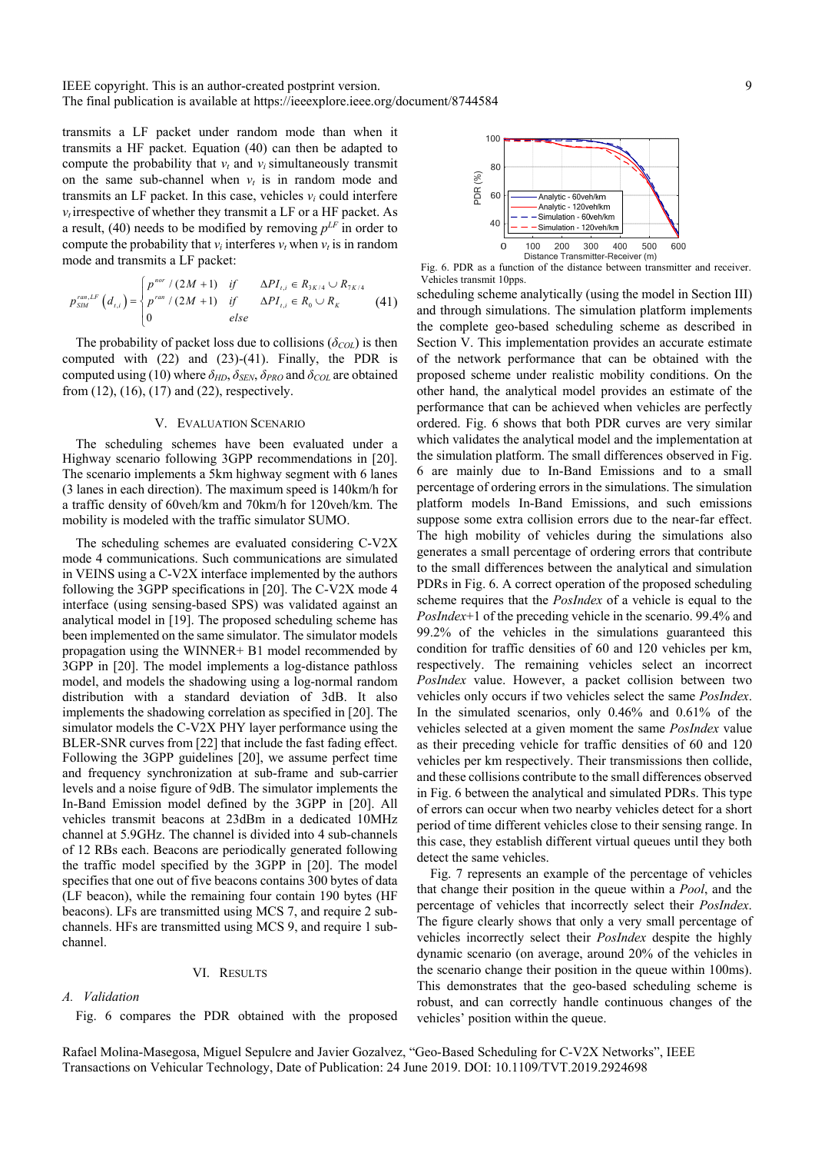transmits a LF packet under random mode than when it transmits a HF packet. Equation (40) can then be adapted to compute the probability that  $v_t$  and  $v_i$  simultaneously transmit on the same sub-channel when  $v_t$  is in random mode and transmits an LF packet. In this case, vehicles  $v_i$  could interfere  $v_t$  irrespective of whether they transmit a LF or a HF packet. As a result, (40) needs to be modified by removing  $p^{LF}$  in order to compute the probability that  $v_i$  interferes  $v_t$  when  $v_t$  is in random mode and transmits a LF packet:

$$
p_{\rm SIM}^{\rm ran,LF}\left(d_{\rm r,i}\right) = \begin{cases} p^{\rm nor}/\left(2M+1\right) & \text{if} \qquad \Delta PI_{\rm r,i} \in R_{3K/4} \cup R_{7K/4} \\ p^{\rm ran}/\left(2M+1\right) & \text{if} \qquad \Delta PI_{\rm r,i} \in R_0 \cup R_K \\ 0 & \text{else} \end{cases} \tag{41}
$$

The probability of packet loss due to collisions (*δCOL*) is then computed with (22) and (23)-(41). Finally, the PDR is computed using (10) where  $\delta_{HD}$ ,  $\delta_{SEN}$ ,  $\delta_{PRO}$  and  $\delta_{COL}$  are obtained from (12), (16), (17) and (22), respectively.

### V. EVALUATION SCENARIO

The scheduling schemes have been evaluated under a Highway scenario following 3GPP recommendations in [20]. The scenario implements a 5km highway segment with 6 lanes (3 lanes in each direction). The maximum speed is 140km/h for a traffic density of 60veh/km and 70km/h for 120veh/km. The mobility is modeled with the traffic simulator SUMO.

The scheduling schemes are evaluated considering C-V2X mode 4 communications. Such communications are simulated in VEINS using a C-V2X interface implemented by the authors following the 3GPP specifications in [20]. The C-V2X mode 4 interface (using sensing-based SPS) was validated against an analytical model in [19]. The proposed scheduling scheme has been implemented on the same simulator. The simulator models propagation using the WINNER+ B1 model recommended by 3GPP in [20]. The model implements a log-distance pathloss model, and models the shadowing using a log-normal random distribution with a standard deviation of 3dB. It also implements the shadowing correlation as specified in [20]. The simulator models the C-V2X PHY layer performance using the BLER-SNR curves from [22] that include the fast fading effect. Following the 3GPP guidelines [20], we assume perfect time and frequency synchronization at sub-frame and sub-carrier levels and a noise figure of 9dB. The simulator implements the In-Band Emission model defined by the 3GPP in [20]. All vehicles transmit beacons at 23dBm in a dedicated 10MHz channel at 5.9GHz. The channel is divided into 4 sub-channels of 12 RBs each. Beacons are periodically generated following the traffic model specified by the 3GPP in [20]. The model specifies that one out of five beacons contains 300 bytes of data (LF beacon), while the remaining four contain 190 bytes (HF beacons). LFs are transmitted using MCS 7, and require 2 subchannels. HFs are transmitted using MCS 9, and require 1 subchannel.

#### VI. RESULTS

# *A. Validation*

Fig. 6 compares the PDR obtained with the proposed



Fig. 6. PDR as a function of the distance between transmitter and receiver. Vehicles transmit 10pps.

scheduling scheme analytically (using the model in Section III) and through simulations. The simulation platform implements the complete geo-based scheduling scheme as described in Section V. This implementation provides an accurate estimate of the network performance that can be obtained with the proposed scheme under realistic mobility conditions. On the other hand, the analytical model provides an estimate of the performance that can be achieved when vehicles are perfectly ordered. Fig. 6 shows that both PDR curves are very similar which validates the analytical model and the implementation at the simulation platform. The small differences observed in Fig. 6 are mainly due to In-Band Emissions and to a small percentage of ordering errors in the simulations. The simulation platform models In-Band Emissions, and such emissions suppose some extra collision errors due to the near-far effect. The high mobility of vehicles during the simulations also generates a small percentage of ordering errors that contribute to the small differences between the analytical and simulation PDRs in Fig. 6. A correct operation of the proposed scheduling scheme requires that the *PosIndex* of a vehicle is equal to the *PosIndex*+1 of the preceding vehicle in the scenario. 99.4% and 99.2% of the vehicles in the simulations guaranteed this condition for traffic densities of 60 and 120 vehicles per km, respectively. The remaining vehicles select an incorrect *PosIndex* value. However, a packet collision between two vehicles only occurs if two vehicles select the same *PosIndex*. In the simulated scenarios, only 0.46% and 0.61% of the vehicles selected at a given moment the same *PosIndex* value as their preceding vehicle for traffic densities of 60 and 120 vehicles per km respectively. Their transmissions then collide, and these collisions contribute to the small differences observed in Fig. 6 between the analytical and simulated PDRs. This type of errors can occur when two nearby vehicles detect for a short period of time different vehicles close to their sensing range. In this case, they establish different virtual queues until they both detect the same vehicles.

Fig. 7 represents an example of the percentage of vehicles that change their position in the queue within a *Pool*, and the percentage of vehicles that incorrectly select their *PosIndex*. The figure clearly shows that only a very small percentage of vehicles incorrectly select their *PosIndex* despite the highly dynamic scenario (on average, around 20% of the vehicles in the scenario change their position in the queue within 100ms). This demonstrates that the geo-based scheduling scheme is robust, and can correctly handle continuous changes of the vehicles' position within the queue.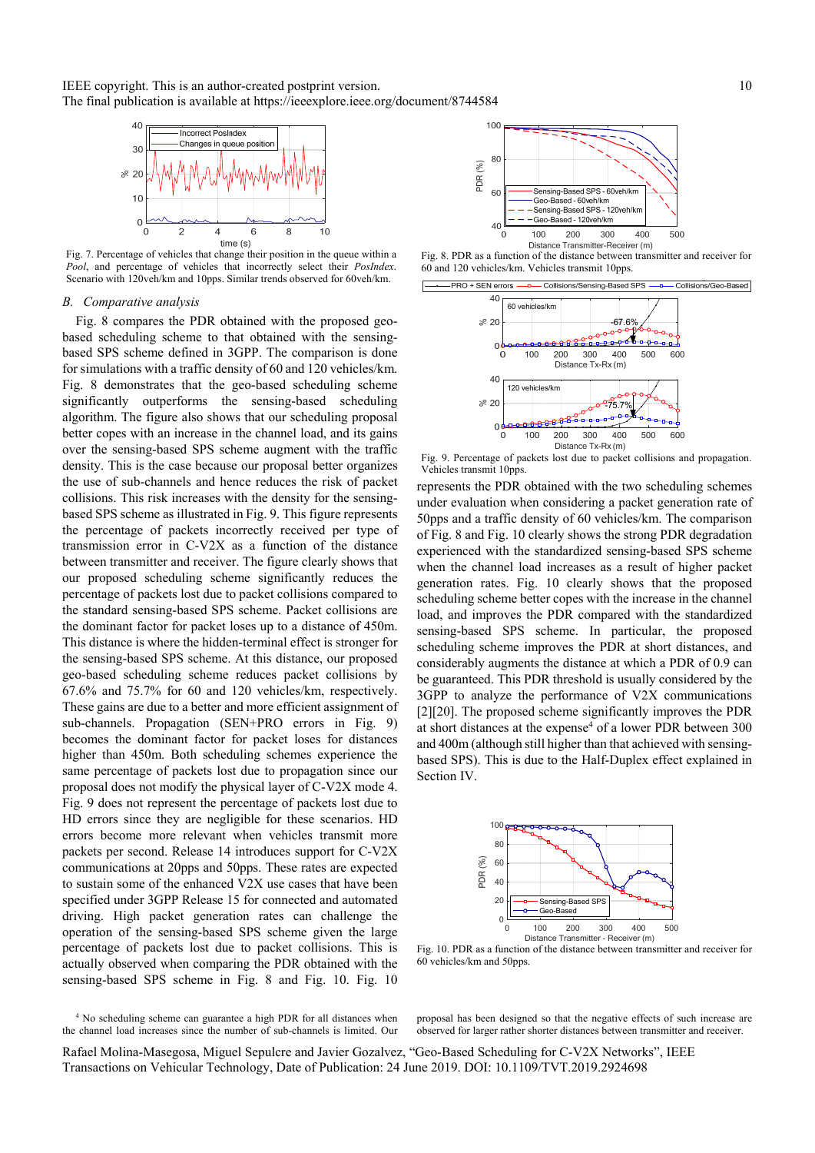

Fig. 7. Percentage of vehicles that change their position in the queue within a *Pool*, and percentage of vehicles that incorrectly select their *PosIndex*. Scenario with 120veh/km and 10pps. Similar trends observed for 60veh/km.

#### *B. Comparative analysis*

Fig. 8 compares the PDR obtained with the proposed geobased scheduling scheme to that obtained with the sensingbased SPS scheme defined in 3GPP. The comparison is done for simulations with a traffic density of 60 and 120 vehicles/km. Fig. 8 demonstrates that the geo-based scheduling scheme significantly outperforms the sensing-based scheduling algorithm. The figure also shows that our scheduling proposal better copes with an increase in the channel load, and its gains over the sensing-based SPS scheme augment with the traffic density. This is the case because our proposal better organizes the use of sub-channels and hence reduces the risk of packet collisions. This risk increases with the density for the sensingbased SPS scheme as illustrated in Fig. 9. This figure represents the percentage of packets incorrectly received per type of transmission error in C-V2X as a function of the distance between transmitter and receiver. The figure clearly shows that our proposed scheduling scheme significantly reduces the percentage of packets lost due to packet collisions compared to the standard sensing-based SPS scheme. Packet collisions are the dominant factor for packet loses up to a distance of 450m. This distance is where the hidden-terminal effect is stronger for the sensing-based SPS scheme. At this distance, our proposed geo-based scheduling scheme reduces packet collisions by 67.6% and 75.7% for 60 and 120 vehicles/km, respectively. These gains are due to a better and more efficient assignment of sub-channels. Propagation (SEN+PRO errors in Fig. 9) becomes the dominant factor for packet loses for distances higher than 450m. Both scheduling schemes experience the same percentage of packets lost due to propagation since our proposal does not modify the physical layer of C-V2X mode 4. Fig. 9 does not represent the percentage of packets lost due to HD errors since they are negligible for these scenarios. HD errors become more relevant when vehicles transmit more packets per second. Release 14 introduces support for C-V2X communications at 20pps and 50pps. These rates are expected to sustain some of the enhanced V2X use cases that have been specified under 3GPP Release 15 for connected and automated driving. High packet generation rates can challenge the operation of the sensing-based SPS scheme given the large percentage of packets lost due to packet collisions. This is actually observed when comparing the PDR obtained with the sensing-based SPS scheme in Fig. 8 and Fig. 10. Fig. 10

<sup>4</sup> No scheduling scheme can guarantee a high PDR for all distances when the channel load increases since the number of sub-channels is limited. Our



Fig. 8. PDR as a function of the distance between transmitter and receiver for 60 and 120 vehicles/km. Vehicles transmit 10pps.



Fig. 9. Percentage of packets lost due to packet collisions and propagation. Vehicles transmit 10pps.

represents the PDR obtained with the two scheduling schemes under evaluation when considering a packet generation rate of 50pps and a traffic density of 60 vehicles/km. The comparison of Fig. 8 and Fig. 10 clearly shows the strong PDR degradation experienced with the standardized sensing-based SPS scheme when the channel load increases as a result of higher packet generation rates. Fig. 10 clearly shows that the proposed scheduling scheme better copes with the increase in the channel load, and improves the PDR compared with the standardized sensing-based SPS scheme. In particular, the proposed scheduling scheme improves the PDR at short distances, and considerably augments the distance at which a PDR of 0.9 can be guaranteed. This PDR threshold is usually considered by the 3GPP to analyze the performance of V2X communications [2][20]. The proposed scheme significantly improves the PDR at short distances at the expense<sup>4</sup> of a lower PDR between 300 and 400m (although still higher than that achieved with sensingbased SPS). This is due to the Half-Duplex effect explained in Section IV.



Fig. 10. PDR as a function of the distance between transmitter and receiver for 60 vehicles/km and 50pps.

proposal has been designed so that the negative effects of such increase are observed for larger rather shorter distances between transmitter and receiver.